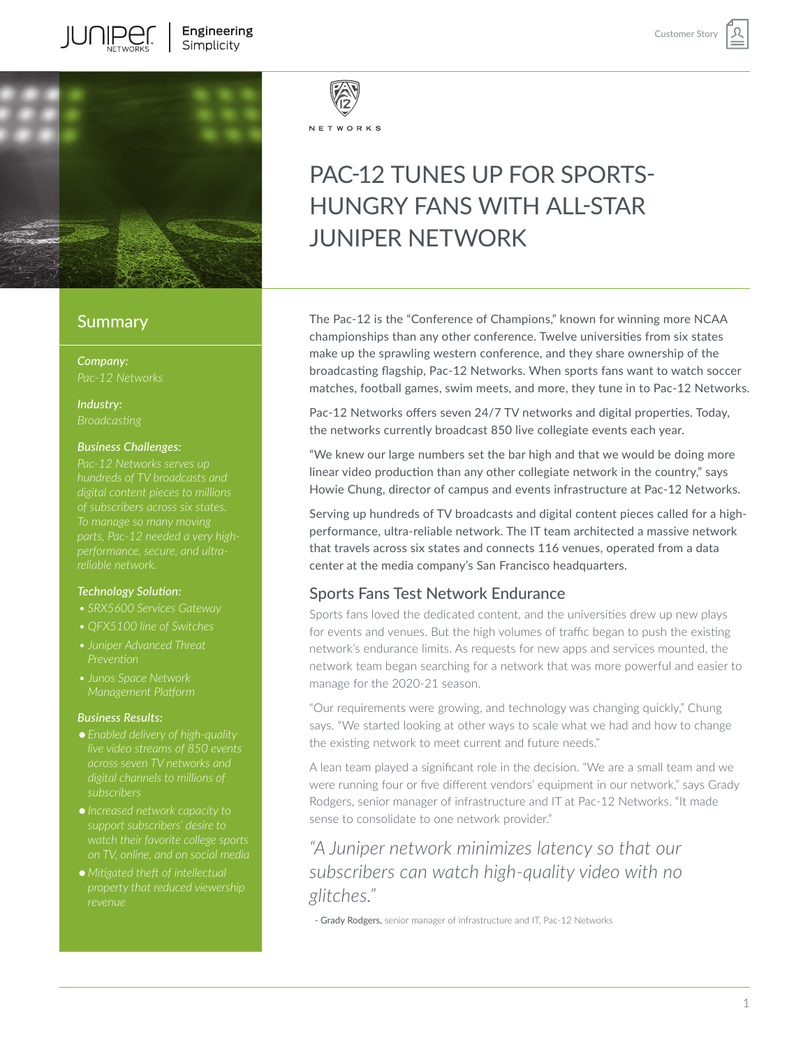

### **Summary**

*Company:*

*Industry: Broadcasting*

### *Business Challenges:*

*hundreds of TV broadcasts and of subscribers across six states.* 

### *Technology Solution:*

*• SRX5600 Services Gateway*

- 
- 
- *• Junos Space Network Management Platform*

### *Business Results:*

- *● Enabled delivery of high-quality subscribers*
- *● Increased network capacity to*
- *● Mitigated theft of intellectual*



#### NETWORKS

# PAC-12 TUNES UP FOR SPORTS-HUNGRY FANS WITH ALL-STAR JUNIPER NETWORK

The Pac-12 is the "Conference of Champions," known for winning more NCAA championships than any other conference. Twelve universities from six states make up the sprawling western conference, and they share ownership of the broadcasting flagship, Pac-12 Networks. When sports fans want to watch soccer matches, football games, swim meets, and more, they tune in to Pac-12 Networks.

Pac-12 Networks offers seven 24/7 TV networks and digital properties. Today, the networks currently broadcast 850 live collegiate events each year.

"We knew our large numbers set the bar high and that we would be doing more linear video production than any other collegiate network in the country," says Howie Chung, director of campus and events infrastructure at Pac-12 Networks.

Serving up hundreds of TV broadcasts and digital content pieces called for a highperformance, ultra-reliable network. The IT team architected a massive network that travels across six states and connects 116 venues, operated from a data center at the media company's San Francisco headquarters.

### Sports Fans Test Network Endurance

Sports fans loved the dedicated content, and the universities drew up new plays for events and venues. But the high volumes of traffic began to push the existing network's endurance limits. As requests for new apps and services mounted, the network team began searching for a network that was more powerful and easier to manage for the 2020-21 season.

"Our requirements were growing, and technology was changing quickly," Chung says. "We started looking at other ways to scale what we had and how to change the existing network to meet current and future needs."

A lean team played a significant role in the decision. "We are a small team and we were running four or five different vendors' equipment in our network," says Grady Rodgers, senior manager of infrastructure and IT at Pac-12 Networks. "It made sense to consolidate to one network provider."

# *"A Juniper network minimizes latency so that our subscribers can watch high-quality video with no glitches."*

- Grady Rodgers, senior manager of infrastructure and IT, Pac-12 Networks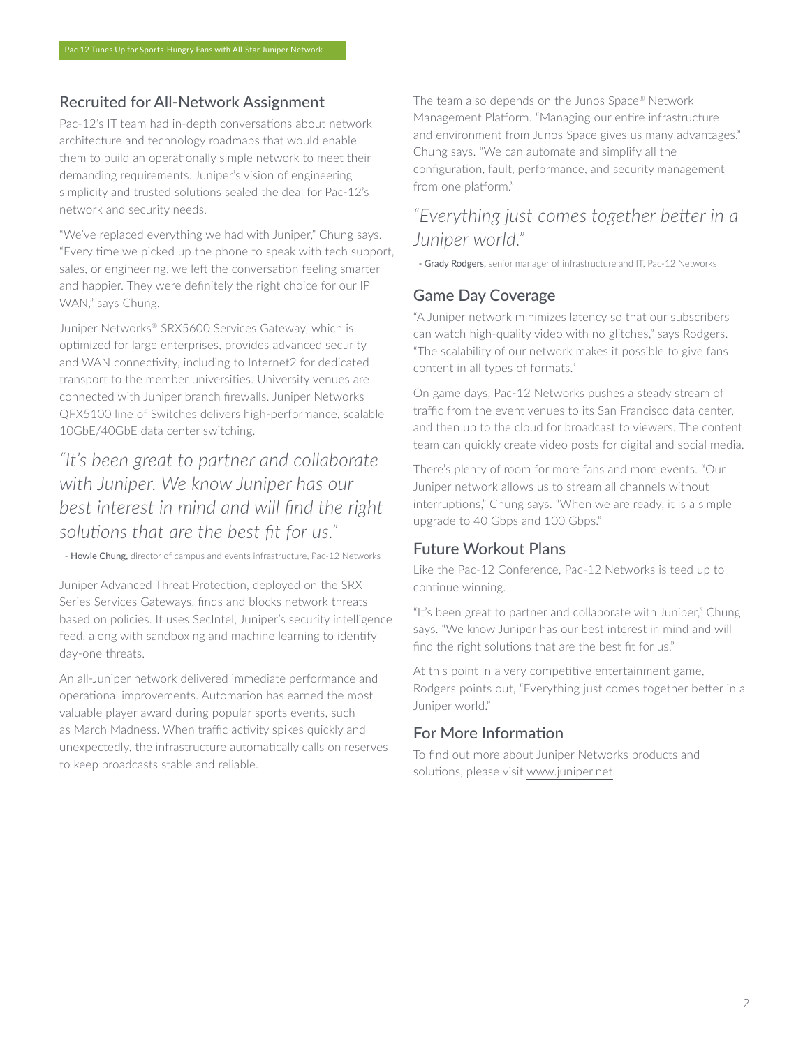# Recruited for All-Network Assignment

Pac-12's IT team had in-depth conversations about network architecture and technology roadmaps that would enable them to build an operationally simple network to meet their demanding requirements. Juniper's vision of engineering simplicity and trusted solutions sealed the deal for Pac-12's network and security needs.

"We've replaced everything we had with Juniper," Chung says. "Every time we picked up the phone to speak with tech support, sales, or engineering, we left the conversation feeling smarter and happier. They were definitely the right choice for our IP WAN," says Chung.

Juniper Networks® SRX5600 Services Gateway, which is optimized for large enterprises, provides advanced security and WAN connectivity, including to Internet2 for dedicated transport to the member universities. University venues are connected with Juniper branch firewalls. Juniper Networks QFX5100 line of Switches delivers high-performance, scalable 10GbE/40GbE data center switching.

# *"It's been great to partner and collaborate with Juniper. We know Juniper has our best interest in mind and will find the right solutions that are the best fit for us."*

- Howie Chung, director of campus and events infrastructure, Pac-12 Networks

Juniper Advanced Threat Protection, deployed on the SRX Series Services Gateways, finds and blocks network threats based on policies. It uses SecIntel, Juniper's security intelligence feed, along with sandboxing and machine learning to identify day-one threats.

An all-Juniper network delivered immediate performance and operational improvements. Automation has earned the most valuable player award during popular sports events, such as March Madness. When traffic activity spikes quickly and unexpectedly, the infrastructure automatically calls on reserves to keep broadcasts stable and reliable.

The team also depends on the Junos Space® Network Management Platform. "Managing our entire infrastructure and environment from Junos Space gives us many advantages," Chung says. "We can automate and simplify all the configuration, fault, performance, and security management from one platform."

# *"Everything just comes together better in a Juniper world."*

- Grady Rodgers, senior manager of infrastructure and IT, Pac-12 Networks

## Game Day Coverage

"A Juniper network minimizes latency so that our subscribers can watch high-quality video with no glitches," says Rodgers. "The scalability of our network makes it possible to give fans content in all types of formats."

On game days, Pac-12 Networks pushes a steady stream of traffic from the event venues to its San Francisco data center, and then up to the cloud for broadcast to viewers. The content team can quickly create video posts for digital and social media.

There's plenty of room for more fans and more events. "Our Juniper network allows us to stream all channels without interruptions," Chung says. "When we are ready, it is a simple upgrade to 40 Gbps and 100 Gbps."

## Future Workout Plans

Like the Pac-12 Conference, Pac-12 Networks is teed up to continue winning.

"It's been great to partner and collaborate with Juniper," Chung says. "We know Juniper has our best interest in mind and will find the right solutions that are the best fit for us."

At this point in a very competitive entertainment game, Rodgers points out, "Everything just comes together better in a Juniper world."

# For More Information

To find out more about Juniper Networks products and solutions, please visit [www.juniper.net](http://www.juniper.net).